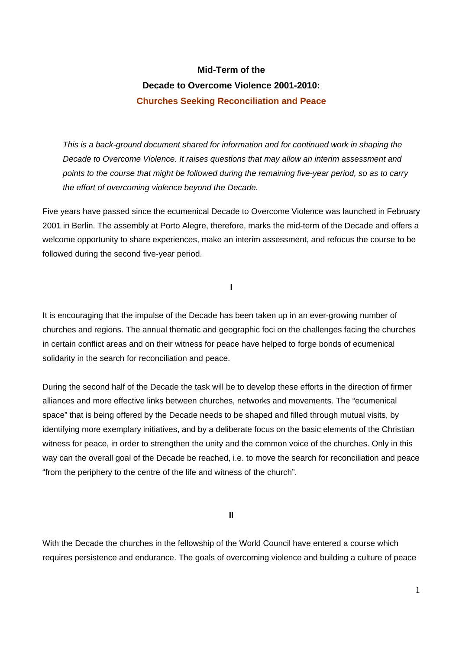## **Mid-Term of the Decade to Overcome Violence 2001-2010: Churches Seeking Reconciliation and Peace**

*This is a back-ground document shared for information and for continued work in shaping the Decade to Overcome Violence. It raises questions that may allow an interim assessment and points to the course that might be followed during the remaining five-year period, so as to carry the effort of overcoming violence beyond the Decade.* 

Five years have passed since the ecumenical Decade to Overcome Violence was launched in February 2001 in Berlin. The assembly at Porto Alegre, therefore, marks the mid-term of the Decade and offers a welcome opportunity to share experiences, make an interim assessment, and refocus the course to be followed during the second five-year period.

**I** 

It is encouraging that the impulse of the Decade has been taken up in an ever-growing number of churches and regions. The annual thematic and geographic foci on the challenges facing the churches in certain conflict areas and on their witness for peace have helped to forge bonds of ecumenical solidarity in the search for reconciliation and peace.

During the second half of the Decade the task will be to develop these efforts in the direction of firmer alliances and more effective links between churches, networks and movements. The "ecumenical space" that is being offered by the Decade needs to be shaped and filled through mutual visits, by identifying more exemplary initiatives, and by a deliberate focus on the basic elements of the Christian witness for peace, in order to strengthen the unity and the common voice of the churches. Only in this way can the overall goal of the Decade be reached, i.e. to move the search for reconciliation and peace "from the periphery to the centre of the life and witness of the church".

**II** 

With the Decade the churches in the fellowship of the World Council have entered a course which requires persistence and endurance. The goals of overcoming violence and building a culture of peace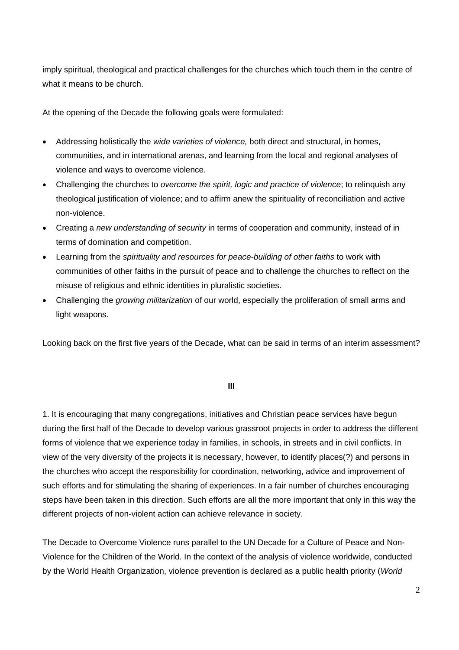imply spiritual, theological and practical challenges for the churches which touch them in the centre of what it means to be church.

At the opening of the Decade the following goals were formulated:

- Addressing holistically the *wide varieties of violence,* both direct and structural, in homes, communities, and in international arenas, and learning from the local and regional analyses of violence and ways to overcome violence.
- Challenging the churches to *overcome the spirit, logic and practice of violence*; to relinquish any theological justification of violence; and to affirm anew the spirituality of reconciliation and active non-violence.
- Creating a *new understanding of security* in terms of cooperation and community, instead of in terms of domination and competition.
- Learning from the *spirituality and resources for peace-building of other faiths* to work with communities of other faiths in the pursuit of peace and to challenge the churches to reflect on the misuse of religious and ethnic identities in pluralistic societies.
- Challenging the *growing militarization* of our world, especially the proliferation of small arms and light weapons.

Looking back on the first five years of the Decade, what can be said in terms of an interim assessment?

## **III**

1. It is encouraging that many congregations, initiatives and Christian peace services have begun during the first half of the Decade to develop various grassroot projects in order to address the different forms of violence that we experience today in families, in schools, in streets and in civil conflicts. In view of the very diversity of the projects it is necessary, however, to identify places(?) and persons in the churches who accept the responsibility for coordination, networking, advice and improvement of such efforts and for stimulating the sharing of experiences. In a fair number of churches encouraging steps have been taken in this direction. Such efforts are all the more important that only in this way the different projects of non-violent action can achieve relevance in society.

The Decade to Overcome Violence runs parallel to the UN Decade for a Culture of Peace and Non-Violence for the Children of the World. In the context of the analysis of violence worldwide, conducted by the World Health Organization, violence prevention is declared as a public health priority (*World*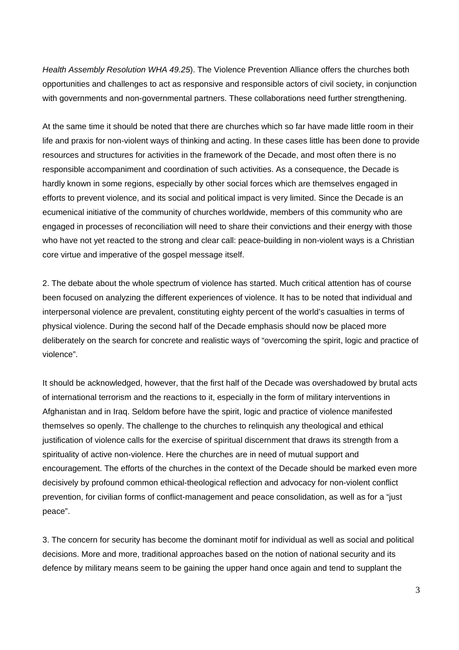*Health Assembly Resolution WHA 49.25*). The Violence Prevention Alliance offers the churches both opportunities and challenges to act as responsive and responsible actors of civil society, in conjunction with governments and non-governmental partners. These collaborations need further strengthening.

At the same time it should be noted that there are churches which so far have made little room in their life and praxis for non-violent ways of thinking and acting. In these cases little has been done to provide resources and structures for activities in the framework of the Decade, and most often there is no responsible accompaniment and coordination of such activities. As a consequence, the Decade is hardly known in some regions, especially by other social forces which are themselves engaged in efforts to prevent violence, and its social and political impact is very limited. Since the Decade is an ecumenical initiative of the community of churches worldwide, members of this community who are engaged in processes of reconciliation will need to share their convictions and their energy with those who have not yet reacted to the strong and clear call: peace-building in non-violent ways is a Christian core virtue and imperative of the gospel message itself.

2. The debate about the whole spectrum of violence has started. Much critical attention has of course been focused on analyzing the different experiences of violence. It has to be noted that individual and interpersonal violence are prevalent, constituting eighty percent of the world's casualties in terms of physical violence. During the second half of the Decade emphasis should now be placed more deliberately on the search for concrete and realistic ways of "overcoming the spirit, logic and practice of violence".

It should be acknowledged, however, that the first half of the Decade was overshadowed by brutal acts of international terrorism and the reactions to it, especially in the form of military interventions in Afghanistan and in Iraq. Seldom before have the spirit, logic and practice of violence manifested themselves so openly. The challenge to the churches to relinquish any theological and ethical justification of violence calls for the exercise of spiritual discernment that draws its strength from a spirituality of active non-violence. Here the churches are in need of mutual support and encouragement. The efforts of the churches in the context of the Decade should be marked even more decisively by profound common ethical-theological reflection and advocacy for non-violent conflict prevention, for civilian forms of conflict-management and peace consolidation, as well as for a "just peace".

3. The concern for security has become the dominant motif for individual as well as social and political decisions. More and more, traditional approaches based on the notion of national security and its defence by military means seem to be gaining the upper hand once again and tend to supplant the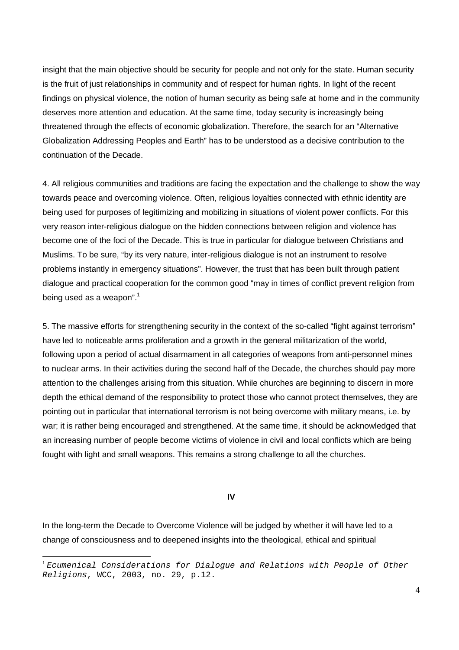insight that the main objective should be security for people and not only for the state. Human security is the fruit of just relationships in community and of respect for human rights. In light of the recent findings on physical violence, the notion of human security as being safe at home and in the community deserves more attention and education. At the same time, today security is increasingly being threatened through the effects of economic globalization. Therefore, the search for an "Alternative Globalization Addressing Peoples and Earth" has to be understood as a decisive contribution to the continuation of the Decade.

4. All religious communities and traditions are facing the expectation and the challenge to show the way towards peace and overcoming violence. Often, religious loyalties connected with ethnic identity are being used for purposes of legitimizing and mobilizing in situations of violent power conflicts. For this very reason inter-religious dialogue on the hidden connections between religion and violence has become one of the foci of the Decade. This is true in particular for dialogue between Christians and Muslims. To be sure, "by its very nature, inter-religious dialogue is not an instrument to resolve problems instantly in emergency situations". However, the trust that has been built through patient dialogue and practical cooperation for the common good "may in times of conflict prevent religion from being used as a weapon". $^{\mathrm{1}}$ 

5. The massive efforts for strengthening security in the context of the so-called "fight against terrorism" have led to noticeable arms proliferation and a growth in the general militarization of the world, following upon a period of actual disarmament in all categories of weapons from anti-personnel mines to nuclear arms. In their activities during the second half of the Decade, the churches should pay more attention to the challenges arising from this situation. While churches are beginning to discern in more depth the ethical demand of the responsibility to protect those who cannot protect themselves, they are pointing out in particular that international terrorism is not being overcome with military means, i.e. by war; it is rather being encouraged and strengthened. At the same time, it should be acknowledged that an increasing number of people become victims of violence in civil and local conflicts which are being fought with light and small weapons. This remains a strong challenge to all the churches.

## **IV**

In the long-term the Decade to Overcome Violence will be judged by whether it will have led to a change of consciousness and to deepened insights into the theological, ethical and spiritual

<sup>1</sup> *Ecumenical Considerations for Dialogue and Relations with People of Other Religions*, WCC, 2003, no. 29, p.12.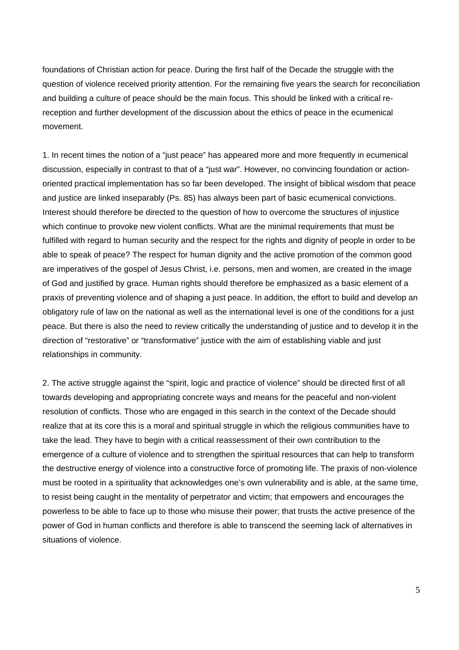foundations of Christian action for peace. During the first half of the Decade the struggle with the question of violence received priority attention. For the remaining five years the search for reconciliation and building a culture of peace should be the main focus. This should be linked with a critical rereception and further development of the discussion about the ethics of peace in the ecumenical movement.

1. In recent times the notion of a "just peace" has appeared more and more frequently in ecumenical discussion, especially in contrast to that of a "just war". However, no convincing foundation or actionoriented practical implementation has so far been developed. The insight of biblical wisdom that peace and justice are linked inseparably (Ps. 85) has always been part of basic ecumenical convictions. Interest should therefore be directed to the question of how to overcome the structures of injustice which continue to provoke new violent conflicts. What are the minimal requirements that must be fulfilled with regard to human security and the respect for the rights and dignity of people in order to be able to speak of peace? The respect for human dignity and the active promotion of the common good are imperatives of the gospel of Jesus Christ, i.e. persons, men and women, are created in the image of God and justified by grace. Human rights should therefore be emphasized as a basic element of a praxis of preventing violence and of shaping a just peace. In addition, the effort to build and develop an obligatory rule of law on the national as well as the international level is one of the conditions for a just peace. But there is also the need to review critically the understanding of justice and to develop it in the direction of "restorative" or "transformative" justice with the aim of establishing viable and just relationships in community.

2. The active struggle against the "spirit, logic and practice of violence" should be directed first of all towards developing and appropriating concrete ways and means for the peaceful and non-violent resolution of conflicts. Those who are engaged in this search in the context of the Decade should realize that at its core this is a moral and spiritual struggle in which the religious communities have to take the lead. They have to begin with a critical reassessment of their own contribution to the emergence of a culture of violence and to strengthen the spiritual resources that can help to transform the destructive energy of violence into a constructive force of promoting life. The praxis of non-violence must be rooted in a spirituality that acknowledges one's own vulnerability and is able, at the same time, to resist being caught in the mentality of perpetrator and victim; that empowers and encourages the powerless to be able to face up to those who misuse their power; that trusts the active presence of the power of God in human conflicts and therefore is able to transcend the seeming lack of alternatives in situations of violence.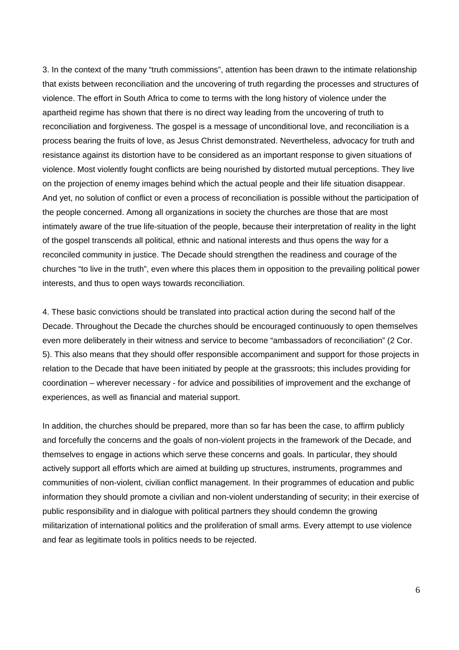3. In the context of the many "truth commissions", attention has been drawn to the intimate relationship that exists between reconciliation and the uncovering of truth regarding the processes and structures of violence. The effort in South Africa to come to terms with the long history of violence under the apartheid regime has shown that there is no direct way leading from the uncovering of truth to reconciliation and forgiveness. The gospel is a message of unconditional love, and reconciliation is a process bearing the fruits of love, as Jesus Christ demonstrated. Nevertheless, advocacy for truth and resistance against its distortion have to be considered as an important response to given situations of violence. Most violently fought conflicts are being nourished by distorted mutual perceptions. They live on the projection of enemy images behind which the actual people and their life situation disappear. And yet, no solution of conflict or even a process of reconciliation is possible without the participation of the people concerned. Among all organizations in society the churches are those that are most intimately aware of the true life-situation of the people, because their interpretation of reality in the light of the gospel transcends all political, ethnic and national interests and thus opens the way for a reconciled community in justice. The Decade should strengthen the readiness and courage of the churches "to live in the truth", even where this places them in opposition to the prevailing political power interests, and thus to open ways towards reconciliation.

4. These basic convictions should be translated into practical action during the second half of the Decade. Throughout the Decade the churches should be encouraged continuously to open themselves even more deliberately in their witness and service to become "ambassadors of reconciliation" (2 Cor. 5). This also means that they should offer responsible accompaniment and support for those projects in relation to the Decade that have been initiated by people at the grassroots; this includes providing for coordination – wherever necessary - for advice and possibilities of improvement and the exchange of experiences, as well as financial and material support.

In addition, the churches should be prepared, more than so far has been the case, to affirm publicly and forcefully the concerns and the goals of non-violent projects in the framework of the Decade, and themselves to engage in actions which serve these concerns and goals. In particular, they should actively support all efforts which are aimed at building up structures, instruments, programmes and communities of non-violent, civilian conflict management. In their programmes of education and public information they should promote a civilian and non-violent understanding of security; in their exercise of public responsibility and in dialogue with political partners they should condemn the growing militarization of international politics and the proliferation of small arms. Every attempt to use violence and fear as legitimate tools in politics needs to be rejected.